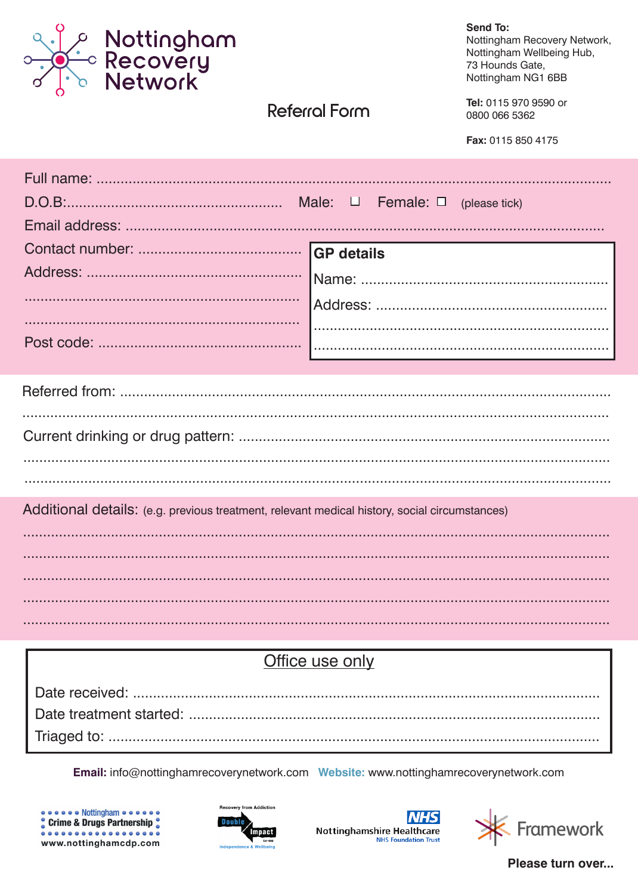

# Referral Form

**Send To:** 

Nottingham Recovery Network, Nottingham Wellbeing Hub, 73 Hounds Gate. Nottingham NG1 6BB

Tel: 0115 970 9590 or 0800 066 5362

Fax: 0115 850 4175

|                                                                                               | <b>GP</b> details |  |  |  |
|-----------------------------------------------------------------------------------------------|-------------------|--|--|--|
|                                                                                               |                   |  |  |  |
|                                                                                               |                   |  |  |  |
|                                                                                               |                   |  |  |  |
|                                                                                               |                   |  |  |  |
|                                                                                               |                   |  |  |  |
|                                                                                               |                   |  |  |  |
|                                                                                               |                   |  |  |  |
|                                                                                               |                   |  |  |  |
|                                                                                               |                   |  |  |  |
|                                                                                               |                   |  |  |  |
| Additional details: (e.g. previous treatment, relevant medical history, social circumstances) |                   |  |  |  |
|                                                                                               |                   |  |  |  |
|                                                                                               |                   |  |  |  |
|                                                                                               |                   |  |  |  |
|                                                                                               |                   |  |  |  |
|                                                                                               |                   |  |  |  |

## Office use only

Email: info@nottinghamrecoverynetwork.com Website: www.nottinghamrecoverynetwork.com









Please turn over...